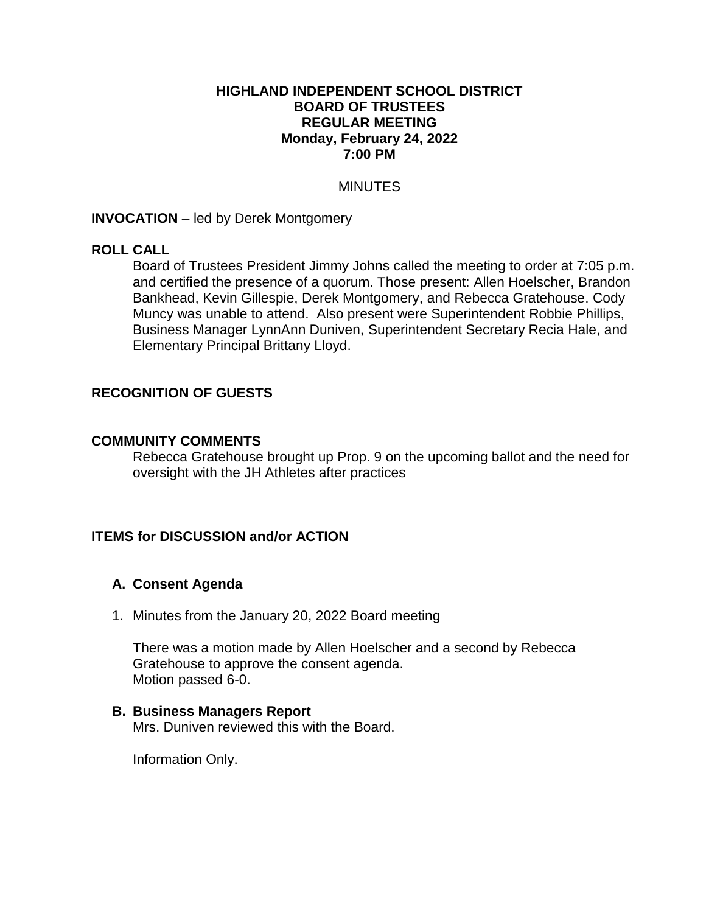#### **HIGHLAND INDEPENDENT SCHOOL DISTRICT BOARD OF TRUSTEES REGULAR MEETING Monday, February 24, 2022 7:00 PM**

#### **MINUTES**

#### **INVOCATION** – led by Derek Montgomery

#### **ROLL CALL**

Board of Trustees President Jimmy Johns called the meeting to order at 7:05 p.m. and certified the presence of a quorum. Those present: Allen Hoelscher, Brandon Bankhead, Kevin Gillespie, Derek Montgomery, and Rebecca Gratehouse. Cody Muncy was unable to attend. Also present were Superintendent Robbie Phillips, Business Manager LynnAnn Duniven, Superintendent Secretary Recia Hale, and Elementary Principal Brittany Lloyd.

## **RECOGNITION OF GUESTS**

#### **COMMUNITY COMMENTS**

Rebecca Gratehouse brought up Prop. 9 on the upcoming ballot and the need for oversight with the JH Athletes after practices

## **ITEMS for DISCUSSION and/or ACTION**

## **A. Consent Agenda**

1. Minutes from the January 20, 2022 Board meeting

There was a motion made by Allen Hoelscher and a second by Rebecca Gratehouse to approve the consent agenda. Motion passed 6-0.

#### **B. Business Managers Report**

Mrs. Duniven reviewed this with the Board.

Information Only.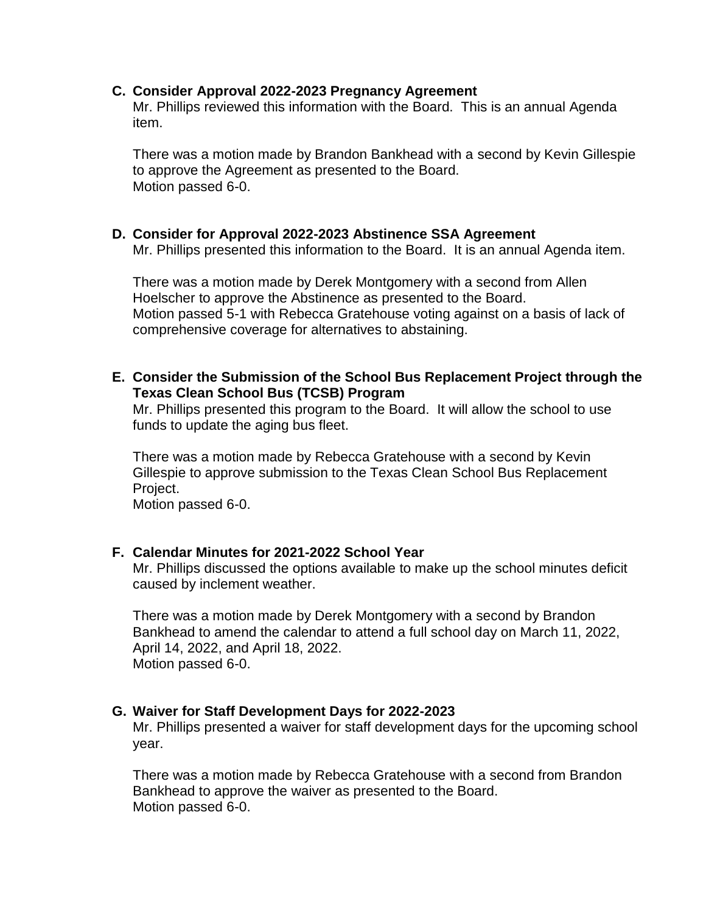#### **C. Consider Approval 2022-2023 Pregnancy Agreement**

Mr. Phillips reviewed this information with the Board. This is an annual Agenda item.

There was a motion made by Brandon Bankhead with a second by Kevin Gillespie to approve the Agreement as presented to the Board. Motion passed 6-0.

## **D. Consider for Approval 2022-2023 Abstinence SSA Agreement**

Mr. Phillips presented this information to the Board. It is an annual Agenda item.

There was a motion made by Derek Montgomery with a second from Allen Hoelscher to approve the Abstinence as presented to the Board. Motion passed 5-1 with Rebecca Gratehouse voting against on a basis of lack of comprehensive coverage for alternatives to abstaining.

**E. Consider the Submission of the School Bus Replacement Project through the Texas Clean School Bus (TCSB) Program**

Mr. Phillips presented this program to the Board. It will allow the school to use funds to update the aging bus fleet.

There was a motion made by Rebecca Gratehouse with a second by Kevin Gillespie to approve submission to the Texas Clean School Bus Replacement Project.

Motion passed 6-0.

## **F. Calendar Minutes for 2021-2022 School Year**

Mr. Phillips discussed the options available to make up the school minutes deficit caused by inclement weather.

There was a motion made by Derek Montgomery with a second by Brandon Bankhead to amend the calendar to attend a full school day on March 11, 2022, April 14, 2022, and April 18, 2022. Motion passed 6-0.

## **G. Waiver for Staff Development Days for 2022-2023**

Mr. Phillips presented a waiver for staff development days for the upcoming school year.

There was a motion made by Rebecca Gratehouse with a second from Brandon Bankhead to approve the waiver as presented to the Board. Motion passed 6-0.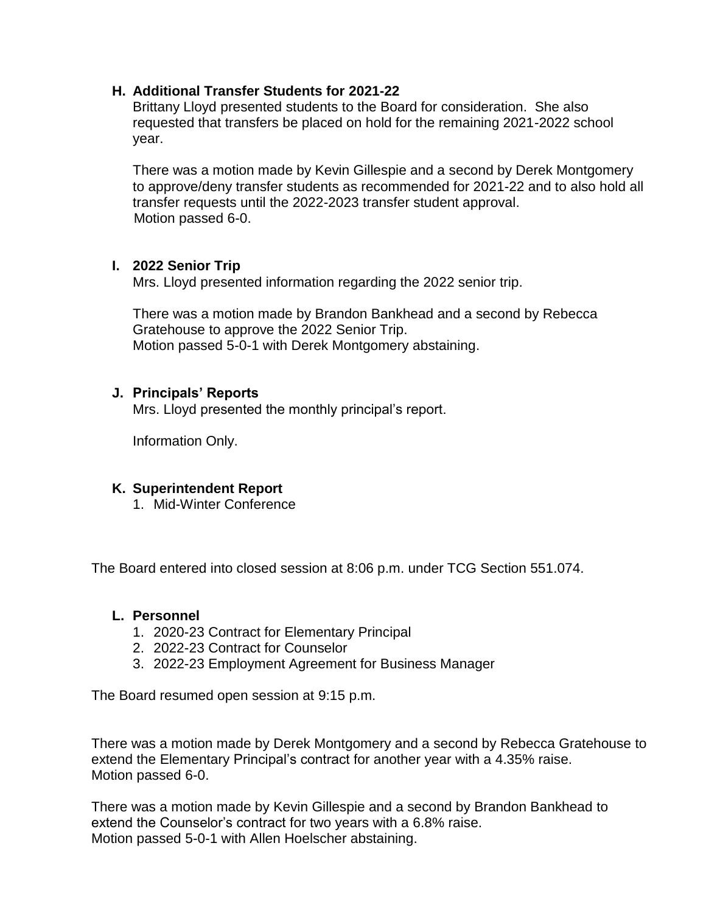## **H. Additional Transfer Students for 2021-22**

Brittany Lloyd presented students to the Board for consideration. She also requested that transfers be placed on hold for the remaining 2021-2022 school year.

There was a motion made by Kevin Gillespie and a second by Derek Montgomery to approve/deny transfer students as recommended for 2021-22 and to also hold all transfer requests until the 2022-2023 transfer student approval. Motion passed 6-0.

## **I. 2022 Senior Trip**

Mrs. Lloyd presented information regarding the 2022 senior trip.

There was a motion made by Brandon Bankhead and a second by Rebecca Gratehouse to approve the 2022 Senior Trip. Motion passed 5-0-1 with Derek Montgomery abstaining.

# **J. Principals' Reports**

Mrs. Lloyd presented the monthly principal's report.

Information Only.

# **K. Superintendent Report**

1. Mid-Winter Conference

The Board entered into closed session at 8:06 p.m. under TCG Section 551.074.

## **L. Personnel**

- 1. 2020-23 Contract for Elementary Principal
- 2. 2022-23 Contract for Counselor
- 3. 2022-23 Employment Agreement for Business Manager

The Board resumed open session at 9:15 p.m.

There was a motion made by Derek Montgomery and a second by Rebecca Gratehouse to extend the Elementary Principal's contract for another year with a 4.35% raise. Motion passed 6-0.

There was a motion made by Kevin Gillespie and a second by Brandon Bankhead to extend the Counselor's contract for two years with a 6.8% raise. Motion passed 5-0-1 with Allen Hoelscher abstaining.